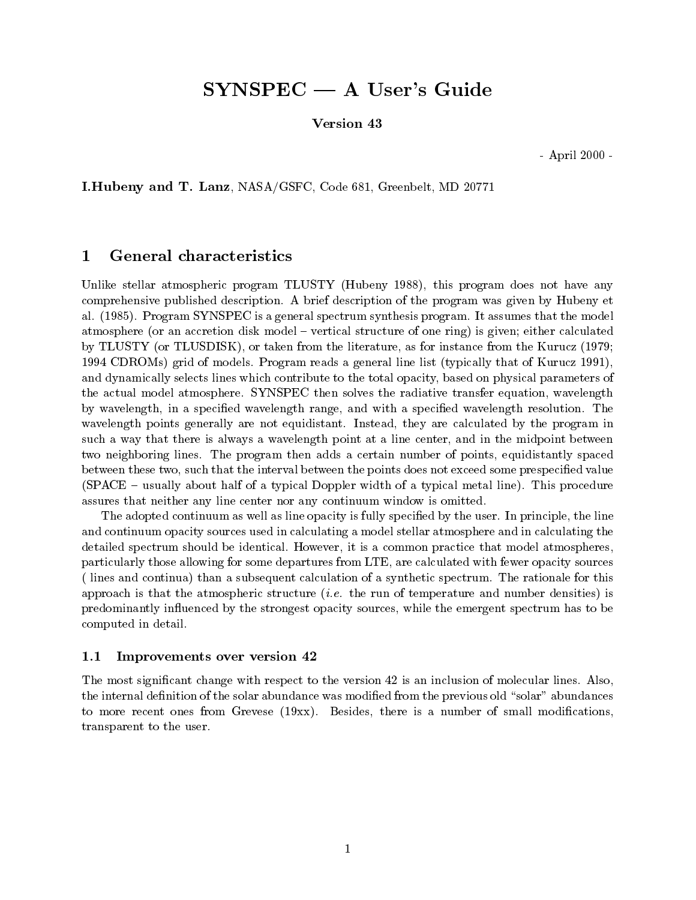# $SYNSPEC - A User's Guide$

Version 43

- April 2000 -

I.Hubeny and T. Lanz, NASA/GSFC, Code 681, Greenbelt, MD 20771

#### 1General characteristics

Unlike stellar atmospheric program TLUSTY (Hubeny 1988), this program does not have any comprehensive published description. A brief description of the program was given by Hubeny et al. (1985). Program SYNSPEC is a general spectrum synthesis program. It assumes that the model atmosphere (or an accretion disk model – vertical structure of one ring) is given; either calculated by TLUSTY (or TLUSDISK), or taken from the literature, as for instance from the Kurucz (1979; 1994 CDROMs) grid of models. Program reads a general line list (typically that of Kurucz 1991), and dynamically selects lines which contribute to the total opacity, based on physical parameters of the actual model atmosphere. SYNSPEC then solves the radiative transfer equation, wavelength by wavelength, in a specified wavelength range, and with a specified wavelength resolution. The wavelength points generally are not equidistant. Instead, they are calculated by the program in such a way that there is always a wavelength point at a line center, and in the midpoint between two neighboring lines. The program then adds a certain number of points, equidistantly spaced between these two, such that the interval between the points does not exceed some prespecified value  $(SPACE - usually about half of a typical Doppler width of a typical metal line). This procedure$ assures that neither any line center nor any continuum window is omitted.

The adopted continuum as well as line opacity is fully specied by the user. In principle, the line and continuum opacity sources used in calculating a model stellar atmosphere and in calculating the detailed spectrum should be identical. However, it is a common practice that model atmospheres, particularly those allowing for some departures from LTE, are calculated with fewer opacity sources ( lines and continua) than a subsequent calculation of a synthetic spectrum. The rationale for this approach is that the atmospheric structure  $(i.e.$  the run of temperature and number densities) is predominantly influenced by the strongest opacity sources, while the emergent spectrum has to be computed in detail.

### 1.1 Improvements over version 42

The most signicant change with respect to the version 42 is an inclusion of molecular lines. Also, the internal definition of the solar abundance was modified from the previous old "solar" abundances to more recent ones from Grevese  $(19xx)$ . Besides, there is a number of small modifications, transparent to the user.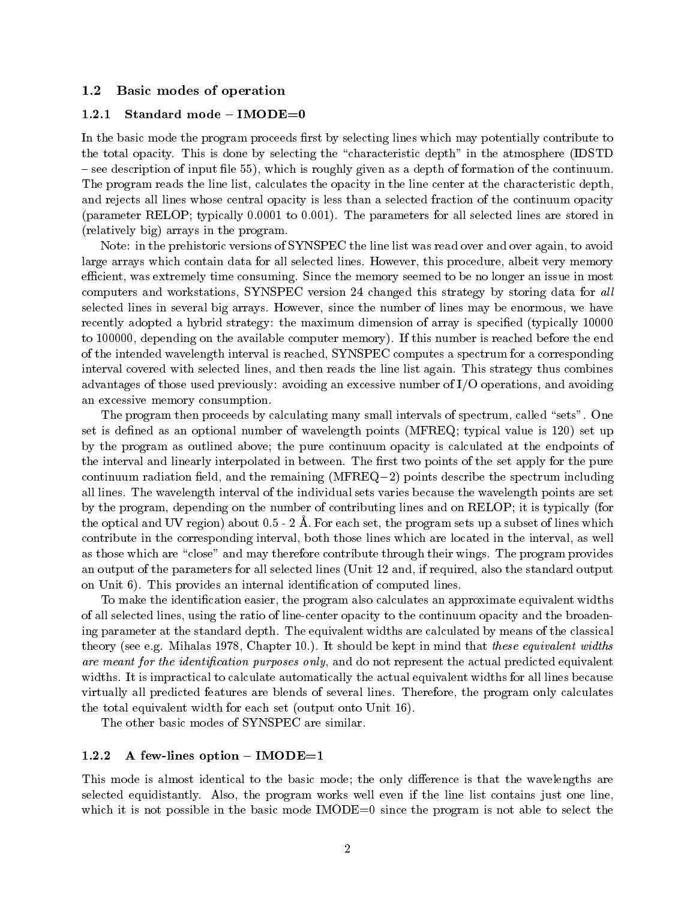#### 1.2 Basic modes of operation

#### $1.2.1$  $Standard mode -  $IMODE=0$$

In the basic mode the program proceeds first by selecting lines which may potentially contribute to the total opacity. This is done by selecting the \characteristic depth" in the atmosphere (IDSTD  $-$  see description of input file 55), which is roughly given as a depth of formation of the continuum. The program reads the line list, calculates the opacity in the line center at the characteristic depth, and rejects all lines whose central opacity is less than a selected fraction of the continuum opacity (parameter RELOP; typically 0.0001 to 0.001). The parameters for all selected lines are stored in (relatively big) arrays in the program.

Note: in the prehistoric versions of SYNSPEC the line list was read over and over again, to avoid large arrays which contain data for all selected lines. However, this procedure, albeit very memory efficient, was extremely time consuming. Since the memory seemed to be no longer an issue in most computers and workstations, SYNSPEC version 24 changed this strategy by storing data for all selected lines in several big arrays. However, since the number of lines may be enormous, we have recently adopted a hybrid strategy: the maximum dimension of array is specified (typically 10000) to 100000, depending on the available computer memory). If this number is reached before the end of the intended wavelength interval is reached, SYNSPEC computes a spectrum for a corresponding interval covered with selected lines, and then reads the line list again. This strategy thus combines advantages of those used previously: avoiding an excessive number of I/O operations, and avoiding an excessive memory consumption.

The program then proceeds by calculating many small intervals of spectrum, called "sets". One set is defined as an optional number of wavelength points (MFREQ; typical value is 120) set up by the program as outlined above; the pure continuum opacity is calculated atthe endpoints of the interval and linearly interpolated in between. The first two points of the set apply for the pure continuum radiation field, and the remaining  $(MFREQ-2)$  points describe the spectrum including all lines. The wavelength interval of the individual sets varies because the wavelength points are set by the program, depending on the number of contributing lines and on RELOP; it is typically (for the optical and UV region) about  $0.5 - 2$  Å. For each set, the program sets up a subset of lines which contribute in the corresponding interval, both those lines which are located in the interval, as well as those which are "close" and may therefore contribute through their wings. The program provides an output of the parameters for all selected lines (Unit 12 and, if required, also the standard output on Unit 6). This provides an internal identication of computed lines.

To make the identication easier, the program also calculates an approximate equivalent widths of all selected lines, using the ratio of line-center opacity to the continuum opacity and the broadening parameter at the standard depth. The equivalent widths are calculated by means of the classical theory (see e.g. Mihalas 1978, Chapter 10.). It should be kept in mind that these equivalent widths are meant for the identification purposes only, and do not represent the actual predicted equivalent widths. It is impractical to calculate automatically the actual equivalent widths for all lines because virtually all predicted features are blends of several lines. Therefore, the program only calculates the total equivalent width for each set (output onto Unit 16).

The other basic modes of SYNSPEC are similar.

### 1.2.2 A few-lines option  ${-}$  IMODE=1

This mode is almost identical to the basic mode; the only difference is that the wavelengths are selected equidistantly. Also, the program works well even if the line list contains just one line, which it is not possible in the basic mode  $IMODE=0$  since the program is not able to select the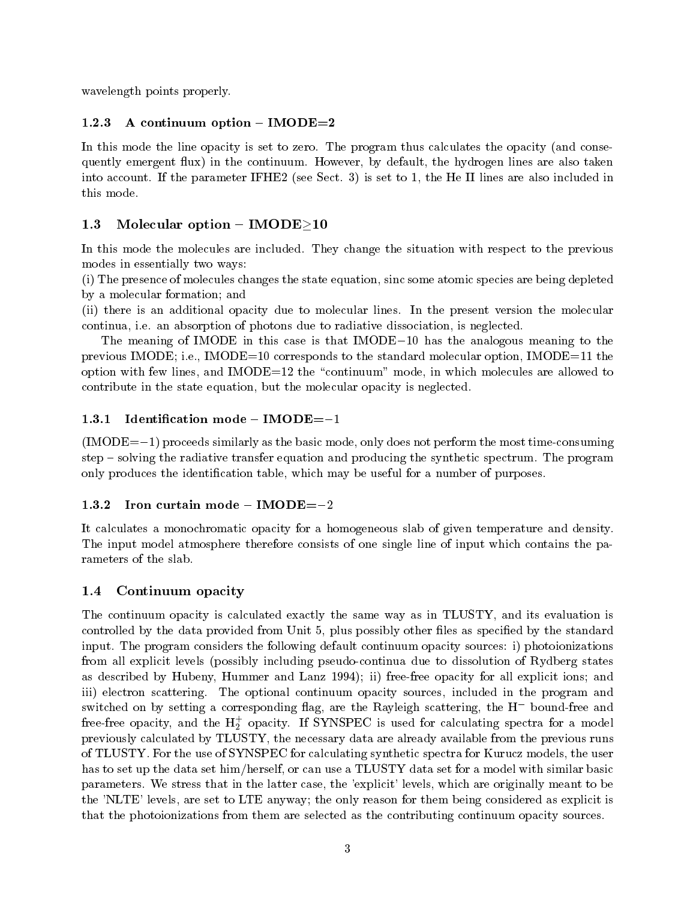wavelength points properly.

#### 1.2.3 A continuum option  ${-}$  IMODE=2

In this mode the line opacity is set to zero. The program thus calculates the opacity (and consequently emergent flux) in the continuum. However, by default, the hydrogen lines are also taken into account. If the parameter IFHE2 (see Sect. 3) is set to 1, the He II lines are also included in this mode.

# 1.3 Molecular option  ${-}$  IMODE ${\geq}10$

In this mode the molecules are included. They change the situation with respect to the previous modes in essentially two ways:

(i) The presence of molecules changes the state equation, sinc some atomic species are being depleted by a molecular formation; and

(ii) there is an additional opacity due to molecular lines. In the present version the molecular continua, i.e. an absorption of photons due to radiative dissociation, is neglected.

The meaning of IMODE in this case is that  $MODE-10$  has the analogous meaning to the previous IMODE; i.e., IMODE=10 corresponds to the standard molecular option, IMODE=11 the option with few lines, and IMODE=12 the \continuum" mode, in which molecules are allowed to contribute in the state equation, but the molecular opacity is neglected.

# 1.3.1 Identification mode  $-$  IMODE= $-1$

 $(IMODE=-1)$  proceeds similarly as the basic mode, only does not perform the most time-consuming step { solving the radiative transfer equation and producing the synthetic spectrum. The program only produces the identication table, which may be useful for a number of purposes.

# 1.3.2 Iron curtain mode  $-$  IMODE= $-2$

It calculates a monochromatic opacity for a homogeneous slab of given temperature and density. The input model atmosphere therefore consists of one single line of input which contains the parameters of the slab.

# 1.4 Continuum opacity

The continuum opacity is calculated exactly the same way as in TLUSTY, and its evaluation is controlled by the data provided from Unit 5, plus possibly other files as specified by the standard input. The program considers the following default continuum opacity sources: i) photoionizations from all explicit levels (possibly including pseudo-continua due to dissolution of Rydberg states as described by Hubeny, Hummer and Lanz 1994); ii) free-free opacity for all explicit ions; and iii) electron scattering. The optional continuum opacity sources, included in the program and switched on by setting a corresponding  $\texttt{mag}, \texttt{are}$  the Rayleigh scattering, the H  $\,$  bound-free and  $\,$ free-free opacity, and the  $\text{H}_2$  opacity. If SYNSPEC is used for calculating spectra for a model previously calculated by TLUSTY, the necessary data are already available from the previous runs of TLUSTY. For the use of SYNSPEC for calculating synthetic spectra for Kurucz models, the user has to set up the data set him/herself, or can use a TLUSTY data set for a model with similar basic parameters. We stress that in the latter case, the 'explicit' levels, which are originally meant to be the 'NLTE' levels, are set to LTE anyway; the only reason for them being considered as explicit is that the photoionizations from them are selected as the contributing continuum opacity sources.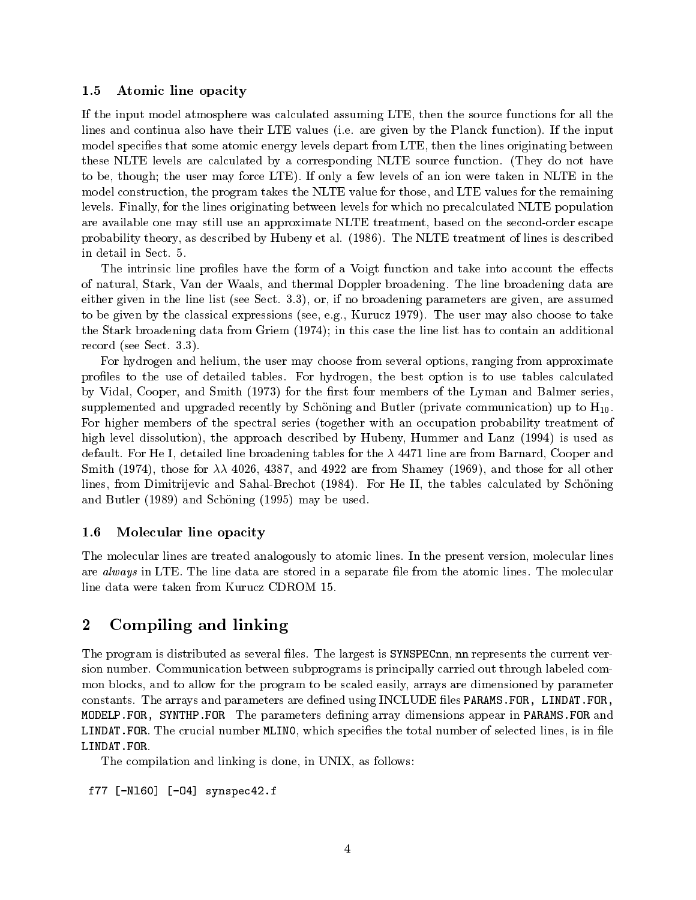### 1.5 Atomic line opacity

If the input model atmosphere was calculated assuming LTE, then the source functions for all the lines and continua also have their LTE values (i.e. are given by the Planck function). If the input model specifies that some atomic energy levels depart from LTE, then the lines originating between these NLTE levels are calculated by a corresponding NLTE source function. (They do not have to be, though; the user may force LTE). If only a few levels of an ion were taken in NLTE in the model construction, the program takes the NLTE value for those, and LTE values for the remaining levels. Finally, for the lines originating between levels for which no precalculated NLTE population are available one may still use an approximate NLTE treatment, based on the second-order escape probability theory, as described by Hubeny et al. (1986). The NLTE treatment of lines is described in detail in Sect. 5.

The intrinsic line profiles have the form of a Voigt function and take into account the effects of natural, Stark, Van der Waals, and thermal Doppler broadening. The line broadening data are either given in the line list (see Sect. 3.3), or, if no broadening parameters are given, are assumed to be given by the classical expressions (see, e.g., Kurucz 1979). The user may also choose to take the Stark broadening data from Griem (1974); in this case the line list has to contain an additional record (see Sect. 3.3).

For hydrogen and helium, the user may choose from several options, ranging from approximate profiles to the use of detailed tables. For hydrogen, the best option is to use tables calculated by Vidal, Cooper, and Smith (1973) for the first four members of the Lyman and Balmer series, supplemented and upgraded recently by Schöning and Butler (private communication) up to  $H_{10}$ . For higher members of the spectral series (together with an occupation probability treatment of high level dissolution), the approach described by Hubeny, Hummer and Lanz (1994) is used as default. For He I, detailed line broadening tables for the  $\lambda$  4471 line are from Barnard, Cooper and Smith (1974), those for  $\lambda\lambda$  4026, 4387, and 4922 are from Shamey (1969), and those for all other lines, from Dimitrijevic and Sahal-Brechot (1984). For He II, the tables calculated by Schoning and Butler (1989) and Schöning (1995) may be used.

## 1.6 Molecular line opacity

The molecular lines are treated analogously to atomic lines. In the present version, molecular lines are *always* in LTE. The line data are stored in a separate file from the atomic lines. The molecular line data were taken from Kurucz CDROM 15.

#### 2Compiling and linking

The program is distributed as several files. The largest is SYNSPECnn, nn represents the current version number. Communication between subprograms is principally carried out through labeled common blocks, and to allow for the program to be scaled easily, arrays are dimensioned by parameter constants. The arrays and parameters are defined using INCLUDE files PARAMS. FOR, LINDAT. FOR, MODELP. FOR, SYNTHP. FOR The parameters defining array dimensions appear in PARAMS. FOR and LINDAT. FOR. The crucial number MLINO, which specifies the total number of selected lines, is in file LINDAT.FOR.

The compilation and linking is done, in UNIX, as follows:

f77 [-Nl60] [-O4] synspec42.f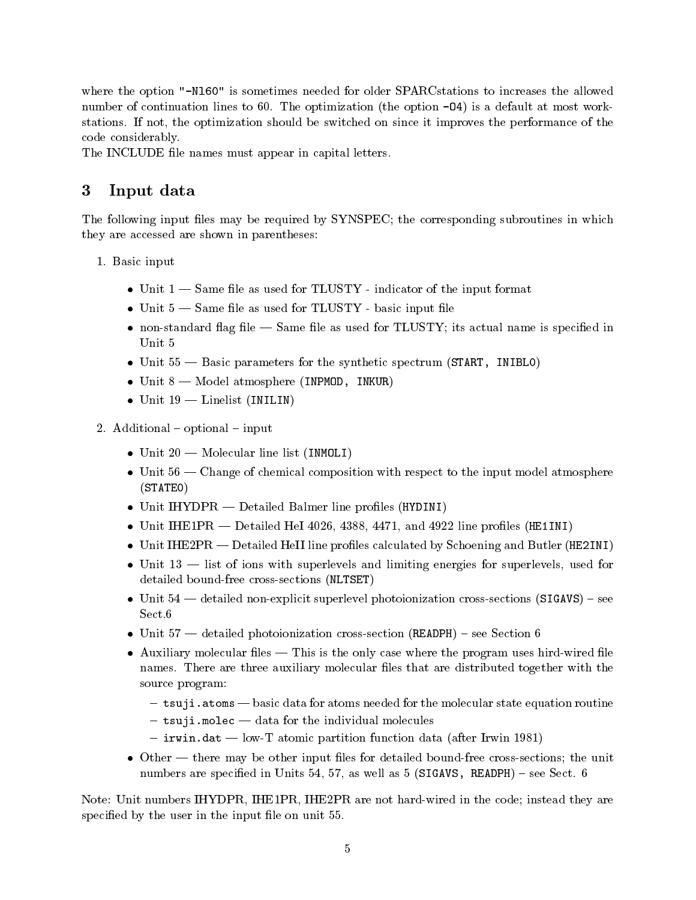where the option "-N160" is sometimes needed for older SPARCstations to increases the allowed number of continuation lines to 60. The optimization (the option -04) is a default at most workstations. If not, the optimization should be switched on since it improves the performance of the code considerably.

The INCLUDE file names must appear in capital letters.

#### 3Input data

The following input files may be required by SYNSPEC; the corresponding subroutines in which they are accessed are shown in parentheses:

- 1. Basic input
	- Unit  $1$  Same file as used for TLUSTY indicator of the input format
	- Unit  $5$  Same file as used for TLUSTY basic input file
	- non-standard flag file  $-$  Same file as used for TLUSTY; its actual name is specified in Unit 5
	- Unit  $55$  Basic parameters for the synthetic spectrum (START, INIBLO)
	- $\bullet$  Unit 8  $-$  Model atmosphere (INPMOD, INKUR)
	- $\bullet$  Unit 19 Linelist (INILIN)
- 2. Additional  ${\bf -}$  optional  ${\bf -}$  input
	- $\bullet$  Unit 20 Molecular line list (INMOLI)
	- Unit  $56$  Change of chemical composition with respect to the input model atmosphere (STATE0)
	- Unit IHYDPR Detailed Balmer line profiles (HYDINI)
	- Unit IHE1PR Detailed HeI 4026, 4388, 4471, and 4922 line profiles (HE1INI)
	- Unit IHE2PR Detailed HeII line profiles calculated by Schoening and Butler (HE2INI)
	- $\bullet$  Unit 13 list of ions with superlevels and limiting energies for superlevels, used for detailed bound-free cross-sections (NLTSET)
	- $\bullet$  Unit 54 detailed non-explicit superlevel photoionization cross-sections (SIGAVS) see Sect.6
	- $\bullet$  Unit 57  $-$  detailed photoionization cross-section (READPH) see Section 6
	- $\bullet$  Auxiliary molecular files This is the only case where the program uses hird-wired file names. There are three auxiliary molecular files that are distributed together with the source program:
		- ${\sf -}$  tsuji.atoms  ${\sf -}$  basic data for atoms needed for the molecular state equation routine
		- $-$  tsuji.molec  $-$  data for the individual molecules
		- $-$  irwin.dat  $-$  low-T atomic partition function data (after Irwin 1981)
	- $\bullet$  Other there may be other input files for detailed bound-free cross-sections; the unit numbers are specified in Units 54, 57, as well as 5 (SIGAVS, READPH) – see Sect. 6

Note: Unit numbers IHYDPR, IHE1PR, IHE2PR are not hard-wired in the code; instead they are specified by the user in the input file on unit 55.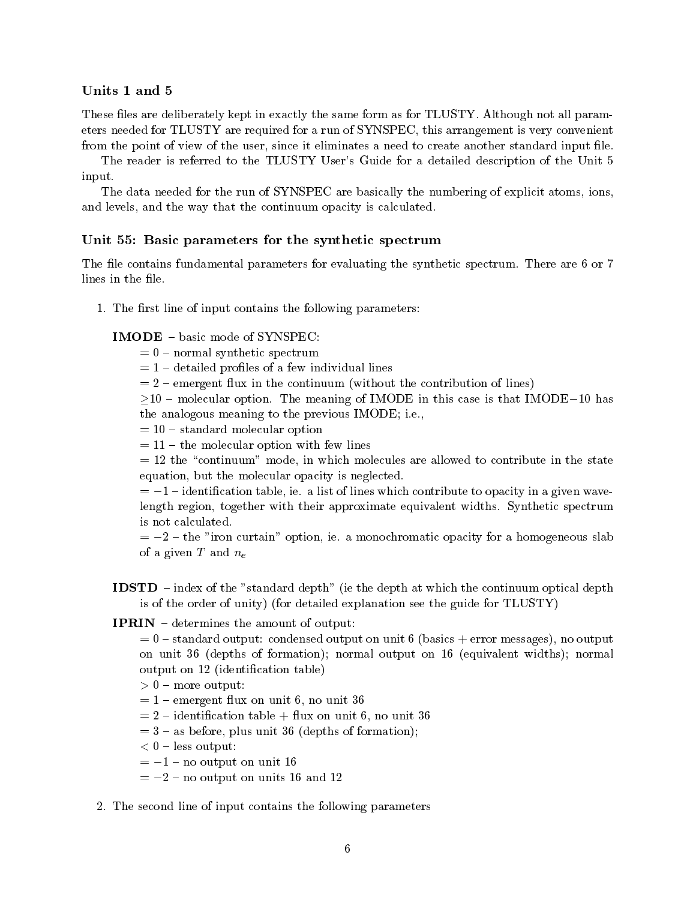These files are deliberately kept in exactly the same form as for TLUSTY. Although not all parameters needed for TLUSTY are required for a run of SYNSPEC, this arrangement is very convenient from the point of view of the user, since it eliminates a need to create another standard input file.

The reader is referred to the TLUSTY User's Guide for a detailed description of the Unit 5 input.

The data needed for the run of SYNSPEC are basically the numbering of explicit atoms, ions, and levels, and the way that the continuum opacity is calculated.

## Unit 55: Basic parameters for the synthetic spectrum

The file contains fundamental parameters for evaluating the synthetic spectrum. There are 6 or 7 lines in the file.

1. The first line of input contains the following parameters:

## IMODE - basic mode of SYNSPEC:

- $= 0$  normal synthetic spectrum
- $= 1$  detailed profiles of a few individual lines
- $= 2$  emergent flux in the continuum (without the contribution of lines)

 $10 -$  molecular option. The meaning of IMODE in this case is that IMODE-10 has the analogous meaning to the previous IMODE; i.e.,

 $= 10 - standard$  molecular option

 $= 11 -$  the molecular option with few lines

 $= 12$  the "continuum" mode, in which molecules are allowed to contribute in the state equation, but the molecular opacity is neglected.

 $= -1$  - identification table, ie. a list of lines which contribute to opacity in a given wavelength region, together with their approximate equivalent widths. Synthetic spectrum is not calculated.

 $= -2$  - the "iron curtain" option, ie. a monochromatic opacity for a homogeneous slab of a given T and  $n_e$ 

- **IDSTD** index of the "standard depth" (ie the depth at which the continuum optical depth is of the order of unity) (for detailed explanation see the guide for TLUSTY)
- **IPRIN**  $\theta$  determines the amount of output:

 $= 0$  -standard output: condensed output on unit 6 (basics + error messages), no output on unit 36 (depths of formation); normal output on 16 (equivalent widths); normal output on 12 (identication table)

- > 0 { more output:
- $= 1$  emergent flux on unit 6, no unit 36

 $= 2$  – identification table + flux on unit 6, no unit 36

- $= 3 -$  as before, plus unit 36 (depths of formation);
- $\sim$  0  $\sim$  0  $\sim$  0  $\sim$  0  $\sim$  0  $\sim$  0  $\sim$  0  $\sim$  0  $\sim$  0  $\sim$  0  $\sim$  0  $\sim$  0  $\sim$  0  $\sim$  0  $\sim$  0  $\sim$  0  $\sim$  0  $\sim$  0  $\sim$  0  $\sim$  0  $\sim$  0  $\sim$  0  $\sim$  0  $\sim$  0  $\sim$  0  $\sim$  0  $\sim$  0  $\sim$  0  $\sim$  0  $\sim$  0  $\sim$  0  $\sim$

 $=-1$  - no output on unit 16

 $=-2$  - no output on units 16 and 12

#### 2. The second line of input contains the following parameters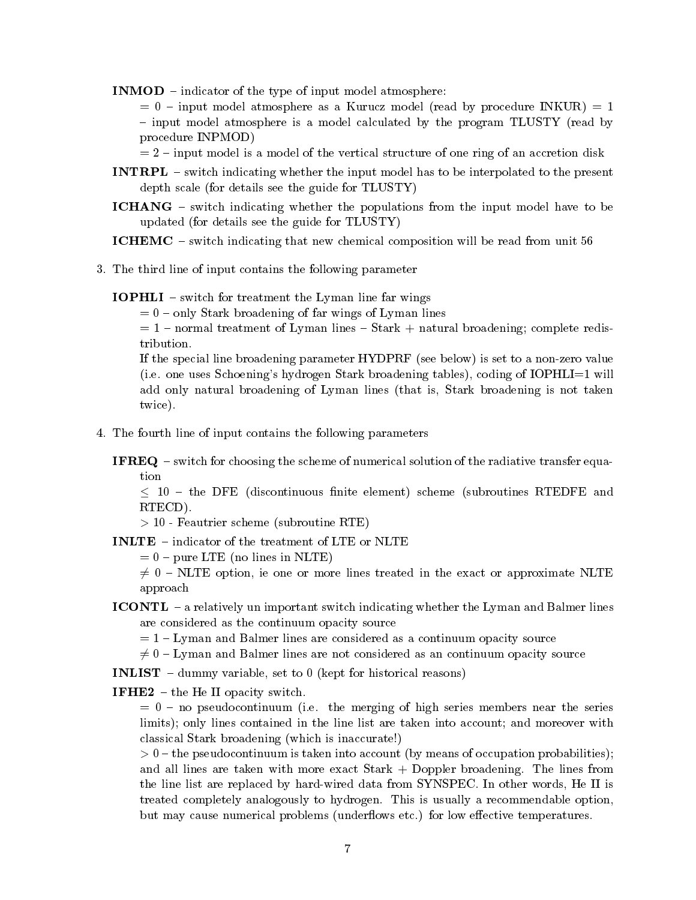**INMOD** – indicator of the type of input model atmosphere:

 $= 0$  – input model atmosphere as a Kurucz model (read by procedure INKUR)  $= 1$ - input model atmosphere is a model calculated by the program TLUSTY (read by procedure INPMOD)

 $= 2$  - input model is a model of the vertical structure of one ring of an accretion disk

- **INTRPL** switch indicating whether the input model has to be interpolated to the present depth scale (for details see the guide for TLUSTY)
- ICHANG switch indicating whether the populations from the input model have to be updated (for details see the guide for TLUSTY)

ICHEMC – switch indicating that new chemical composition will be read from unit 56

3. The third line of input contains the following parameter

**IOPHLI** – switch for treatment the Lyman line far wings

 $= 0$  – only Stark broadening of far wings of Lyman lines

 $= 1$  – normal treatment of Lyman lines – Stark  $+$  natural broadening; complete redistribution.

If the special line broadening parameter HYDPRF (see below) is set to a non-zero value (i.e. one uses Schoening's hydrogen Stark broadening tables), coding of IOPHLI=1 will add only natural broadening of Lyman lines (that is, Stark broadening is not taken twice).

4. The fourth line of input contains the following parameters

**IFREQ**  $-$  switch for choosing the scheme of numerical solution of the radiative transfer equation

 $\leq$  10 – the DFE (discontinuous finite element) scheme (subroutines RTEDFE and RTECD).

, <u>- 10 - Februarie scheme (subroutine RTE)</u>

INLTE - indicator of the treatment of LTE or NLTE

 $= 0$  – pure LTE (no lines in NLTE)

 $\neq 0$  – NLTE option, ie one or more lines treated in the exact or approximate NLTE approach

ICONTL - a relatively un important switch indicating whether the Lyman and Balmer lines are considered as the continuum opacity source

 $= 1 -$  Lyman and Balmer lines are considered as a continuum opacity source

 $\neq 0$  – Lyman and Balmer lines are not considered as an continuum opacity source

**INLIST** - dummy variable, set to 0 (kept for historical reasons)

**IFHE2** – the He II opacity switch.

 $= 0$  – no pseudocontinuum (i.e. the merging of high series members near the series limits); only lines contained in the line list are taken into account; and moreover with classical Stark broadening (which is inaccurate!)

 $\sim$  0  $\sim$  0.000 pseudocontinuum is taken into account (by means of occupation probabilities); and all lines are taken with more exact Stark + Doppler broadening. The lines from the line list are replaced by hard-wired data from SYNSPEC. In other words, He II is treated completely analogously to hydrogen. This is usually a recommendable option, but may cause numerical problems (underflows etc.) for low effective temperatures.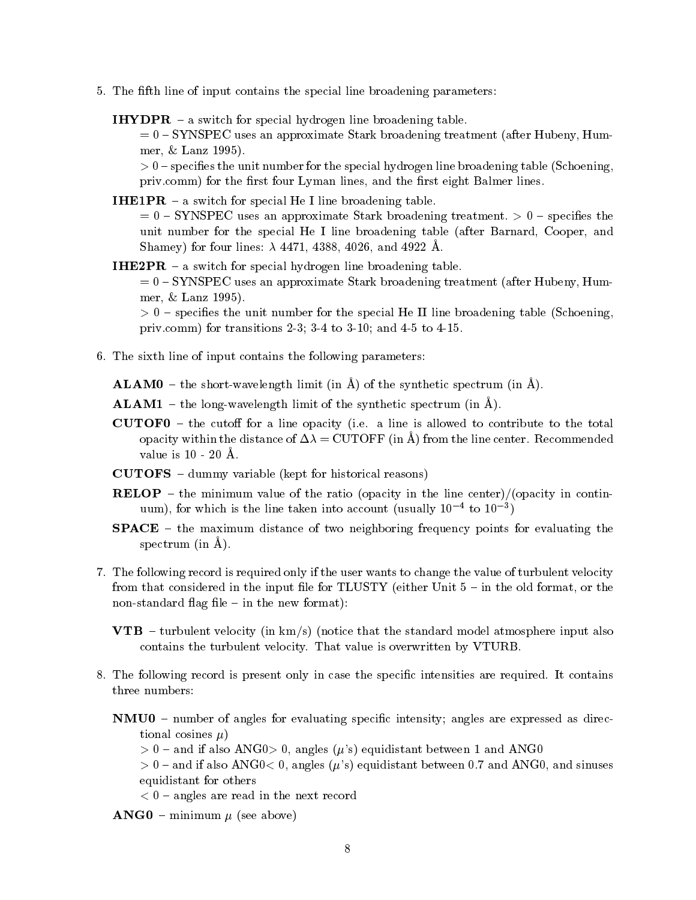- 5. The fth line of input contains the special line broadening parameters:
	- **IHYDPR**  $-$  a switch for special hydrogen line broadening table.

 $= 0 - {\rm SYNSPEC}$  uses an approximate Stark broadening treatment (after Hubeny, Hummer, & Lanz 1995).

> 0 { species the unit number for the special hydrogen line broadening table (Schoening, priv.comm) for the first four Lyman lines, and the first eight Balmer lines.

- **IHE1PR**  $-$  a switch for special He I line broadening table.  $= 0$  – SYNSPEC uses an approximate Stark broadening treatment.  $> 0$  – specifies the unit number for the special He I line broadening table (after Barnard, Cooper, and Shamey) for four lines:  $\lambda$  4471, 4388, 4026, and 4922 Å.
- **IHE2PR**  $-$  a switch for special hydrogen line broadening table.  $= 0 - SYNSPEC$  uses an approximate Stark broadening treatment (after Hubeny, Hummer, & Lanz 1995).  $\sim$  0  $\sim$  10  $\mu$  cases the unit number for the special He II line broadening table (School in an index  $\eta$ priv.comm) for transitions 2-3; 3-4 to 3-10; and 4-5 to 4-15.
- 6. The sixth line of input contains the following parameters:
	- **ALAM0** the short-wavelength limit (in  $\hat{A}$ ) of the synthetic spectrum (in  $\hat{A}$ ).

**ALAM1** – the long-wavelength limit of the synthetic spectrum (in  $\hat{A}$ ).

- **CUTOF0**  $-$  the cutoff for a line opacity (i.e. a line is allowed to contribute to the total opacity within the distance of  $\Delta \lambda = \text{CUTOFF}$  (in  $\AA$ ) from the line center. Recommended value is 10 - 20 A.
- $\textbf{CUTOFS}$  dummy variable (kept for historical reasons)
- **RELOP** the minimum value of the ratio (opacity in the line center)/(opacity in continuum), for which is the line taken into account (usually  $10 - t_0$   $10^{-1}$ )
- **SPACE**  $-$  the maximum distance of two neighboring frequency points for evaluating the spectrum (in  $\AA$ ).
- 7. The following record is required only if the user wants to change the value of turbulent velocity from that considered in the input file for TLUSTY (either Unit  $5 -$  in the old format, or the non-standard flag file  $-$  in the new format):
	- **VTB** turbulent velocity (in  $km/s$ ) (notice that the standard model atmosphere input also contains the turbulent velocity. That value is overwritten by VTURB.
- 8. The following record is present only in case the specic intensities are required. It contains three numbers:
	- $NMU0$  number of angles for evaluating specific intensity; angles are expressed as directional cosines  $\mu$ )
		- $> 0$  and if also ANG0 $> 0$ , angles ( $\mu$ 's) equidistant between 1 and ANG0
		- $> 0$  and if also ANG0< 0, angles ( $\mu$ 's) equidistant between 0.7 and ANG0, and sinuses equidistant for others
		- < 0 { angles are read in the next record
	- $\mathbf{ANG0}$  minimum  $\mu$  (see above)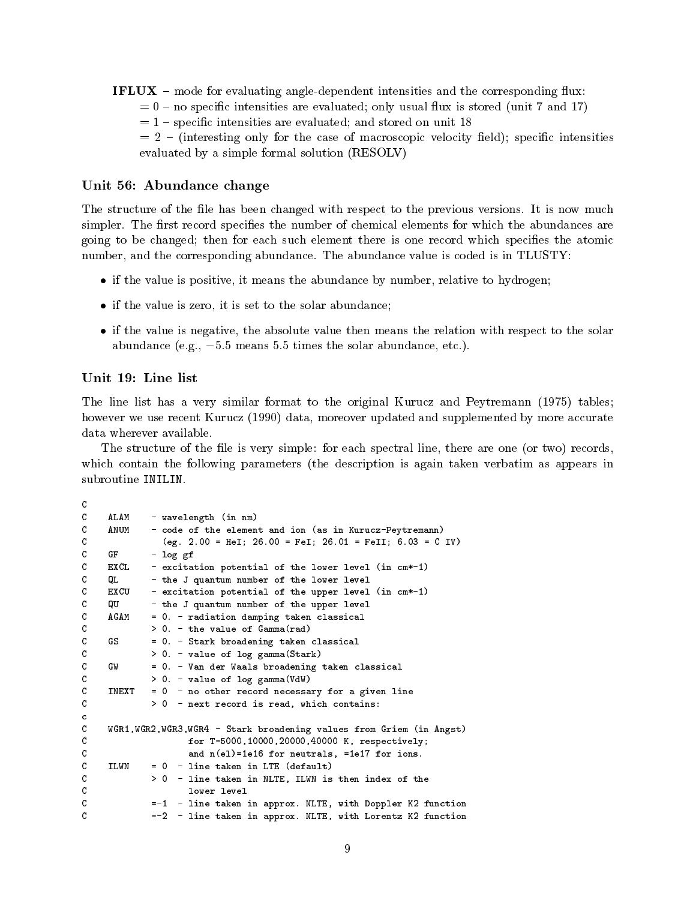- **IFLUX** mode for evaluating angle-dependent intensities and the corresponding flux:
	- $= 0$  no specific intensities are evaluated; only usual flux is stored (unit 7 and 17)
	- $= 1$  specific intensities are evaluated; and stored on unit 18

 $= 2$  – (interesting only for the case of macroscopic velocity field); specific intensities evaluated by a simple formal solution (RESOLV)

#### Unit 56: Abundance change

The structure of the file has been changed with respect to the previous versions. It is now much simpler. The first record specifies the number of chemical elements for which the abundances are going to be changed; then for each such element there is one record which species the atomic number, and the corresponding abundance. The abundance value is coded is in TLUSTY:

- if the value is positive, it means the abundance by number, relative to hydrogen;
- if the value is zero, it is set to the solar abundance;
- if the value is negative, the absolute value then means the relation with respect to the solar abundance (e.g.,  $-5.5$  means 5.5 times the solar abundance, etc.).

#### Unit 19: Line list

The line list has a very similar format to the original Kurucz and Peytremann (1975) tables; however we use recent Kurucz (1990) data, moreover updated and supplemented by more accurate data wherever available.

The structure of the file is very simple: for each spectral line, there are one (or two) records, which contain the following parameters (the description is again taken verbatim as appears in subroutine INILIN.

```
\mathcal{C}\mathbf CAT. AM
              - wavelength (in nm)
\mathbf{C}- code of the element and ion (as in Kurucz-Peytremann)
     ANTIM
C (eg. 2.00 = HeI; 26.00 = FeI; 26.01 = FeII; 6.03 = C IV)\mathbf CGF- log gf
\mathbf CEXCL.
             - excitation potential of the lower level (in cm*-1)
C QL - the J quantum number of the lower level
\mathbf CEXCU
              - excitation potential of the upper level (in cm*-1)
\mathcal{C}QU - the J quantum number of the upper level
\mathcal{C}AG AM
             = 0. - radiation damping taken classical
\mathbf{C}> 0. - the value of Gamma(rad)C GS = 0. - Stark broadening taken classical
\mathbf C> 0. - value of log gamma (Stark)
C GW = 0. - Van der Waals broadening taken classical
\mathbf CC > 0. - value of log gamma(VdW)
\mathcal{C}TNEXT
             = 0 - no other record necessary for a given line
C > 0 - next record is read, which contains:
\mathbf{c}C WGR1,WGR2,WGR3,WGR4 - Stark broadening values from Griem (in Angst)
C 6 for T=5000,10000,20000,40000 K, respectively;
\mathbf Cand n(el)=1e16 for neutrals, =1e17 for ions.
\mathcal{C}TT.WN
             = 0 - line taken in LTE (default)\mathcal{C}> 0 - line taken in NLTE, ILWN is then index of the
\mathbf Clower level
C = -1 - line taken in approx. NLTE, with Doppler K2 function
\mathbf C=-2 - line taken in approx. NLTE, with Lorentz K2 function
```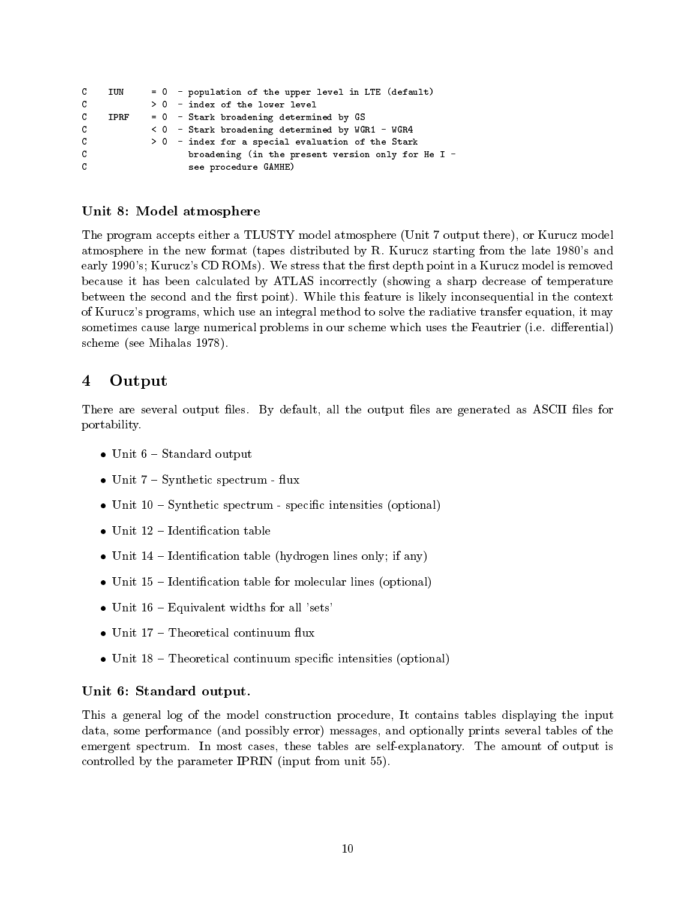```
C IUN = 0 - population of the upper level in LTE (default)
     TUN
\mathbf C> 0 - index of the lower level
\mathbf CTPRF
             = 0 - Stark broadening determined by GS
C < 0 - Stark broadening determined by WGR1 - WGR4
\mathbf C> 0 - index for a special evaluation of the Stark
\mathbf{C}broadening (in the present version only for He I -
\mathcal{C}see procedure GAMHE)
```
## Unit 8: Model atmosphere

The program accepts either a TLUSTY model atmosphere (Unit 7 output there), or Kurucz model atmosphere in the new format (tapes distributed by R. Kurucz starting from the late 1980's and early 1990's; Kurucz's CD ROMs). We stress that the first depth point in a Kurucz model is removed because it has been calculated by ATLAS incorrectly (showing a sharp decrease of temperature between the second and the first point). While this feature is likely inconsequential in the context of Kurucz's programs, which use an integral method to solve the radiative transfer equation, it may sometimes cause large numerical problems in our scheme which uses the Feautrier (i.e. differential) scheme (see Mihalas 1978).

#### 4**Output**

There are several output files. By default, all the output files are generated as ASCII files for portability.

- $\bullet$  Unit  $6 -$  Standard output
- Unit  $7 Synthetic spectrum flux$
- $\bullet$  Unit 10 Synthetic spectrum specific intensities (optional)
- $\bullet$  Unit 12 Identification table
- Unit  $14$  Identification table (hydrogen lines only; if any)
- $\bullet$  Unit 15 Identification table for molecular lines (optional)
- $\bullet$  Unit 16 Equivalent widths for all 'sets'
- Unit  $17$  Theoretical continuum flux
- $\bullet$  Unit 18 Theoretical continuum specific intensities (optional)

## Unit 6: Standard output.

This a general log of the model construction procedure, It contains tables displaying the input data, some performance (and possibly error) messages, and optionally prints several tables of the emergent spectrum. In most cases, these tables are self-explanatory. The amount of output is controlled by the parameter IPRIN (input from unit 55).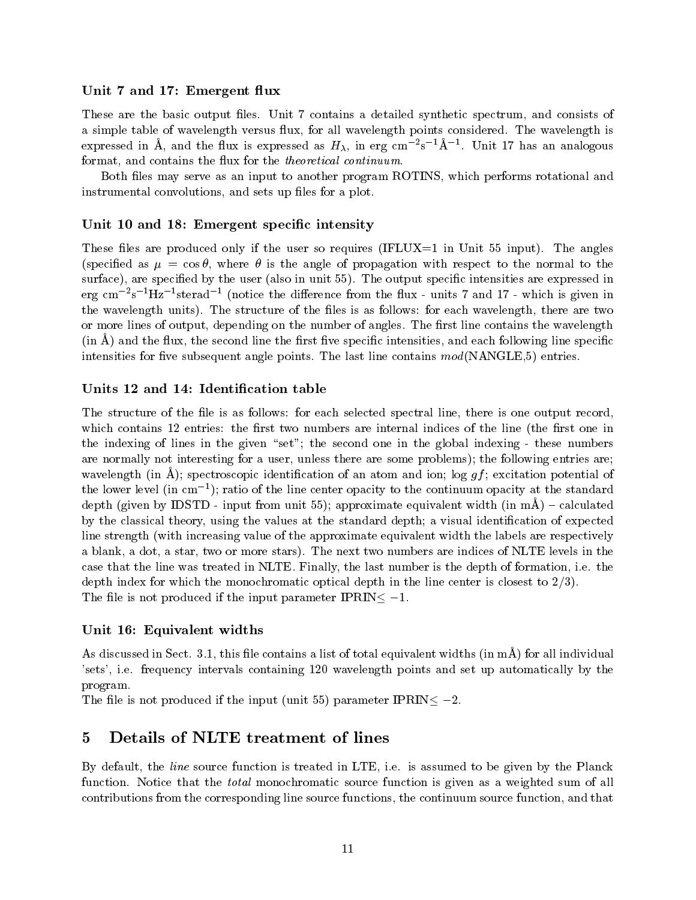## Unit 7 and 17: Emergent flux

These are the basic output files. Unit 7 contains a detailed synthetic spectrum, and consists of a simple table of wavelength versus flux, for all wavelength points considered. The wavelength is expressed in A, and the flux is expressed as  $H_{\lambda}$ , in erg cm  $^-$ s  $^-$ A  $^-$ . Unit 17 has an analogous format, and contains the flux for the *theoretical continuum*.

Both files may serve as an input to another program ROTINS, which performs rotational and instrumental convolutions, and sets up files for a plot.

## Unit 10 and 18: Emergent specific intensity

These files are produced only if the user so requires (IFLUX $=1$  in Unit 55 input). The angles (specified as  $\mu = \cos \theta$ , where  $\theta$  is the angle of propagation with respect to the normal to the surface), are specified by the user (also in unit 55). The output specific intensities are expressed in erg cm2s - Hz - sterad - (notice the difference from the nux - units 7 and 17 - which is given in the wavelength units). The structure of the files is as follows: for each wavelength, there are two or more lines of output, depending on the number of angles. The first line contains the wavelength  $(\text{in } A)$  and the flux, the second line the first five specific intensities, and each following line specific intensities for five subsequent angle points. The last line contains  $mod(NANGLE,5)$  entries.

## Units 12 and 14: Identication table

The structure of the file is as follows: for each selected spectral line, there is one output record, which contains 12 entries: the first two numbers are internal indices of the line (the first one in the indexing of lines in the given "set"; the second one in the global indexing - these numbers are normally not interesting for a user, unless there are some problems); the following entries are; wavelength (in  $\AA$ ); spectroscopic identification of an atom and ion; log  $gf$ ; excitation potential of the lower level (in cm1 ); ratio of the line center opacity to the continuum opacity at the standard depth (given by IDSTD - input from unit 55); approximate equivalent width (in  $m\ddot{A}$ ) – calculated by the classical theory, using the values at the standard depth; a visual identication of expected line strength (with increasing value of the approximate equivalent width the labels are respectively a blank, a dot, a star, two or more stars). The next two numbers are indices of NLTE levels in the case that the line was treated in NLTE. Finally, the last number is the depth of formation, i.e. the depth index for which the monochromatic optical depth in the line center is closest to 2/3). The file is not produced if the input parameter IPRIN $\leq -1$ .

## Unit 16: Equivalent widths

As discussed in Sect. 3.1, this file contains a list of total equivalent widths (in mA) for all individual 'sets', i.e. frequency intervals containing 120 wavelength points and set up automatically by the program.

The file is not produced if the input (unit 55) parameter IPRIN  $\leq -2$ .

#### 5Details of NLTE treatment of lines

By default, the line source function is treated in LTE, i.e. is assumed to be given by the Planck function. Notice that the *total* monochromatic source function is given as a weighted sum of all contributions from the corresponding line source functions, the continuum source function, and that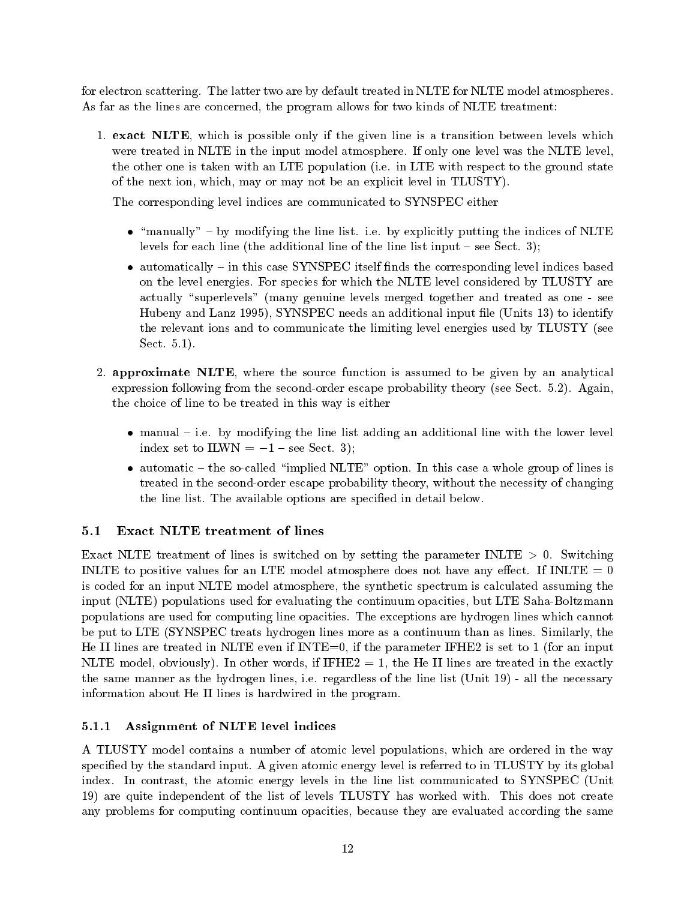for electron scattering. The latter two are by default treated in NLTE for NLTE model atmospheres. As far as the lines are concerned, the program allows for two kinds of NLTE treatment:

1. exact NLTE, which is possible only if the given line is a transition between levels which were treated in NLTE in the input model atmosphere. If only one level was the NLTE level, the other one is taken with an LTE population (i.e. in LTE with respect to the ground state of the next ion, which, may or may not be an explicit level in TLUSTY).

The corresponding level indices are communicated to SYNSPEC either

- $\bullet$  "manually" by modifying the line list. i.e. by explicitly putting the indices of NLTE levels for each line (the additional line of the line list input  $-$  see Sect. 3);
- automatically in this case SYNSPEC itself finds the corresponding level indices based on the level energies. For species for which the NLTE level considered by TLUSTY are actually "superlevels" (many genuine levels merged together and treated as one - see Hubeny and Lanz 1995), SYNSPEC needs an additional input file (Units 13) to identify the relevant ions and to communicate the limiting level energies used by TLUSTY (see Sect. 5.1).
- 2. approximate NLTE, where the source function is assumed to be given by an analytical expression following from the second-order escape probability theory (see Sect. 5.2). Again, the choice of line to be treated in this way is either
	- $\bullet$  manual  $-$  i.e. by modifying the line list adding an additional line with the lower level index set to ILWN  $= -1$  – see Sect. 3);
	- automatic  $-$  the so-called "implied NLTE" option. In this case a whole group of lines is treated in the second-order escape probability theory, without the necessity of changing the line list. The available options are specied in detail below.

# 5.1 Exact NLTE treatment of lines

Exact NLTE treatment of lines is switched on by setting the parameter INLTE  $> 0$ . Switching INLTE to positive values for an LTE model atmosphere does not have any effect. If INLTE  $= 0$ is coded for an input NLTE model atmosphere, the synthetic spectrum is calculated assuming the input (NLTE) populations used for evaluating the continuum opacities, but LTE Saha-Boltzmann populations are used for computing line opacities. The exceptions are hydrogen lines which cannot be put to LTE (SYNSPEC treats hydrogen lines more as a continuum than as lines. Similarly, the He II lines are treated in NLTE even if INTE=0, if the parameter IFHE2 is set to 1 (for an input NLTE model, obviously). In other words, if  $IFHE2 = 1$ , the He II lines are treated in the exactly the same manner as the hydrogen lines, i.e. regardless of the line list (Unit 19) - all the necessary information about He II lines is hardwired in the program.

# 5.1.1 Assignment of NLTE level indices

A TLUSTY model contains a number of atomic level populations, which are ordered in the way specified by the standard input. A given atomic energy level is referred to in TLUSTY by its global index. In contrast, the atomic energy levels in the line list communicated to SYNSPEC (Unit 19) are quite independent of the list of levels TLUSTY has worked with. This does not create any problems for computing continuum opacities, because they are evaluated according the same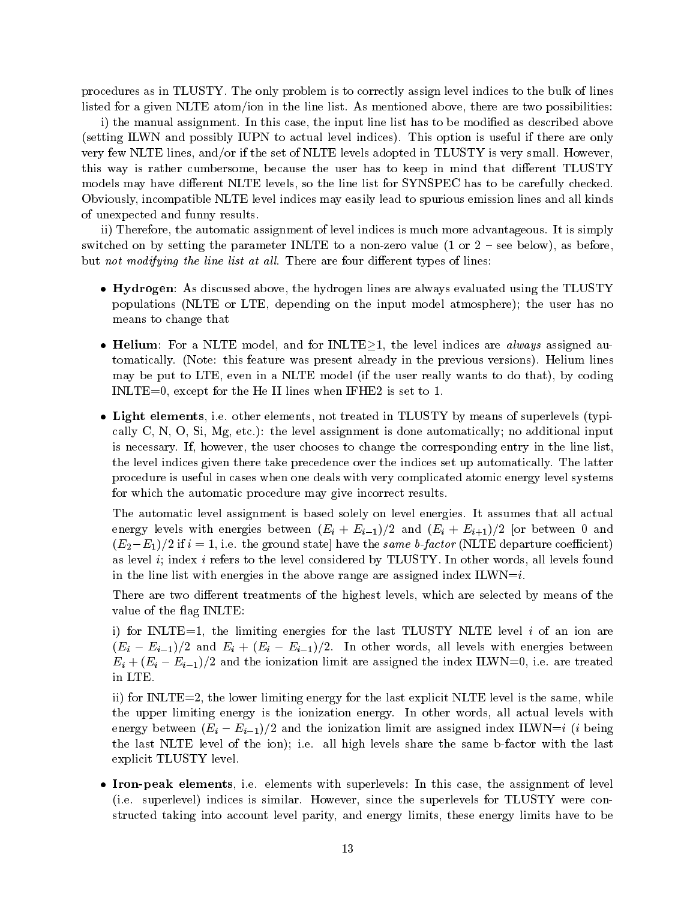procedures as in TLUSTY. The only problem is to correctly assign level indices to the bulk of lines listed for a given NLTE atom/ion in the line list. As mentioned above, there are two possibilities:

i) the manual assignment. In this case, the input line list has to be modified as described above (setting ILWN and possibly IUPN to actual level indices). This option is useful if there are only very few NLTE lines, and/or if the set of NLTE levels adopted in TLUSTY is very small. However, this way is rather cumbersome, because the user has to keep in mind that different TLUSTY models may have different NLTE levels, so the line list for SYNSPEC has to be carefully checked. Obviously, incompatible NLTE level indices may easily lead to spurious emission lines and all kinds of unexpected and funny results.

ii) Therefore, the automatic assignment of level indices is much more advantageous. It is simply switched on by setting the parameter INLTE to a non-zero value (1 or  $2$  – see below), as before, but not modifying the line list at all. There are four different types of lines:

- Hydrogen: As discussed above, the hydrogen lines are always evaluated using the TLUSTY populations (NLTE or LTE, depending on the input model atmosphere); the user has no means to change that
- Helium: For a NLTE model, and for INLTE $\geq 1$ , the level indices are *always* assigned automatically. (Note: this feature was present already in the previous versions). Helium lines may be put to LTE, even in a NLTE model (if the user really wants to do that), by coding INLTE=0, except for the He II lines when IFHE2 is set to 1.
- Light elements, i.e. other elements, not treated in TLUSTY by means of superlevels (typically C, N, O, Si, Mg, etc.): the level assignment is done automatically; no additional input is necessary. If, however, the user chooses to change the corresponding entry in the line list, the level indices given there take precedence over the indices set up automatically. The latter procedure is useful in cases when one deals with very complicated atomic energy level systems for which the automatic procedure may give incorrect results.

The automatic level assignment is based solely on level energies. It assumes that all actual energy levels with energies between  $(E_i + E_{i-1})/2$  and  $(E_i + E_{i+1})/2$  [or between 0 and  $(E_2-E_1)/2$  if  $i = 1$ , i.e. the ground state] have the same b-factor (NLTE departure coefficient) as level i; index i refers to the level considered by TLUSTY. In other words, all levels found in the line list with energies in the above range are assigned index  $ILWN = i$ .

There are two different treatments of the highest levels, which are selected by means of the value of the flag INLTE:

i) for INLTE=1, the limiting energies for the last TLUSTY NLTE level  $i$  of an ion are  $(E_i - E_{i-1})/2$  and  $E_i + (E_i - E_{i-1})/2$ . In other words, all levels with energies between  $E_i + (E_i - E_{i-1})/2$  and the ionization limit are assigned the index ILWN=0, i.e. are treated in LTE.

ii) for INLTE=2, the lower limiting energy for the last explicit NLTE level is the same, while the upper limiting energy is the ionization energy. In other words, all actual levels with energy between  $(E_i - E_{i-1})/2$  and the ionization limit are assigned index ILWN=i (i being the last NLTE level of the ion); i.e. all high levels share the same b-factor with the last explicit TLUSTY level.

• Iron-peak elements, i.e. elements with superlevels: In this case, the assignment of level (i.e. superlevel) indices is similar. However, since the superlevels for TLUSTY were constructed taking into account level parity, and energy limits, these energy limits have to be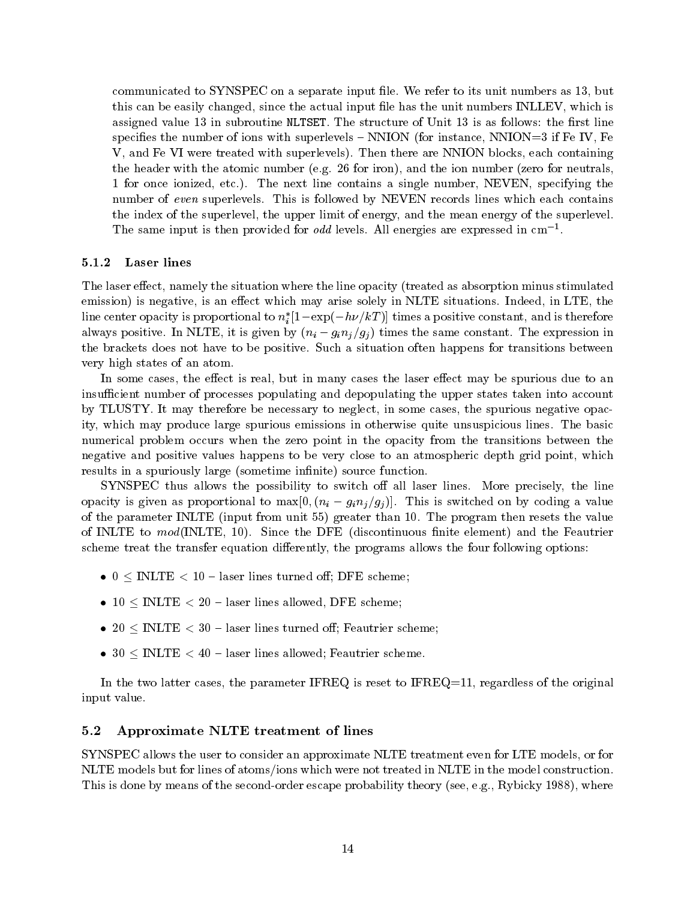communicated to SYNSPEC on a separate input file. We refer to its unit numbers as 13, but this can be easily changed, since the actual input file has the unit numbers INLLEV, which is assigned value 13 in subroutine NLTSET. The structure of Unit 13 is as follows: the first line specifies the number of ions with superlevels  $-$  NNION (for instance, NNION=3 if Fe IV, Fe V, and Fe VI were treated with superlevels). Then there are NNION blocks, each containing the header with the atomic number (e.g. 26 for iron), and the ion number (zero for neutrals, 1 for once ionized, etc.). The next line contains a single number, NEVEN, specifying the number of even superlevels. This is followed by NEVEN records lines which each contains the index of the superlevel, the upper limit of energy, and the mean energy of the superlevel. The same input is then provided for odd levels. All energies are expressed in cm1 .

#### 5.1.2 Laser lines

The laser effect, namely the situation where the line opacity (treated as absorption minus stimulated emission) is negative, is an effect which may arise solely in NLTE situations. Indeed, in LTE, the line center opacity is proportional to  $n_i$  [1  $-\exp(-n\nu/\kappa\varGamma)$ ] times a positive constant, and is therefore always positive. In NLTE, it is given by  $(n_i-g_in_j/g_j)$  times the same constant. The expression in the brackets does not have to be positive. Such a situation often happens for transitions between very high states of an atom.

In some cases, the effect is real, but in many cases the laser effect may be spurious due to an insufficient number of processes populating and depopulating the upper states taken into account by TLUSTY. It may therefore be necessary to neglect, in some cases, the spurious negative opacity, which may produce large spurious emissions in otherwise quite unsuspicious lines. The basic numerical problem occurs when the zero point in the opacity from the transitions between the negative and positive values happens to be very close to an atmospheric depth grid point, which results in a spuriously large (sometime infinite) source function.

SYNSPEC thus allows the possibility to switch off all laser lines. More precisely, the line opacity is given as proportional to  $\max[0, (n_i-g_in_j/g_j)]$ . This is switched on by coding a value of the parameter INLTE (input from unit 55) greater than 10. The program then resets the value of INLTE to  $mod($ INLTE, 10). Since the DFE (discontinuous finite element) and the Feautrier scheme treat the transfer equation differently, the programs allows the four following options:

- $\bullet$  0 < INLTE < 10 laser lines turned off; DFE scheme;
- $10 < \text{INLTE} < 20$  laser lines allowed, DFE scheme;
- 20  $\leq$  INLTE  $<$  30 laser lines turned off; Feautrier scheme;
- $30 \leq \text{INLTE} < 40$  laser lines allowed; Feautrier scheme.

In the two latter cases, the parameter IFREQ is reset to IFREQ=11, regardless of the original input value.

### 5.2 Approximate NLTE treatment of lines

SYNSPEC allows the user to consider an approximate NLTE treatment even for LTE models, or for NLTE models but for lines of atoms/ions which were not treated in NLTE in the model construction. This is done by means of the second-order escape probability theory (see, e.g., Rybicky 1988), where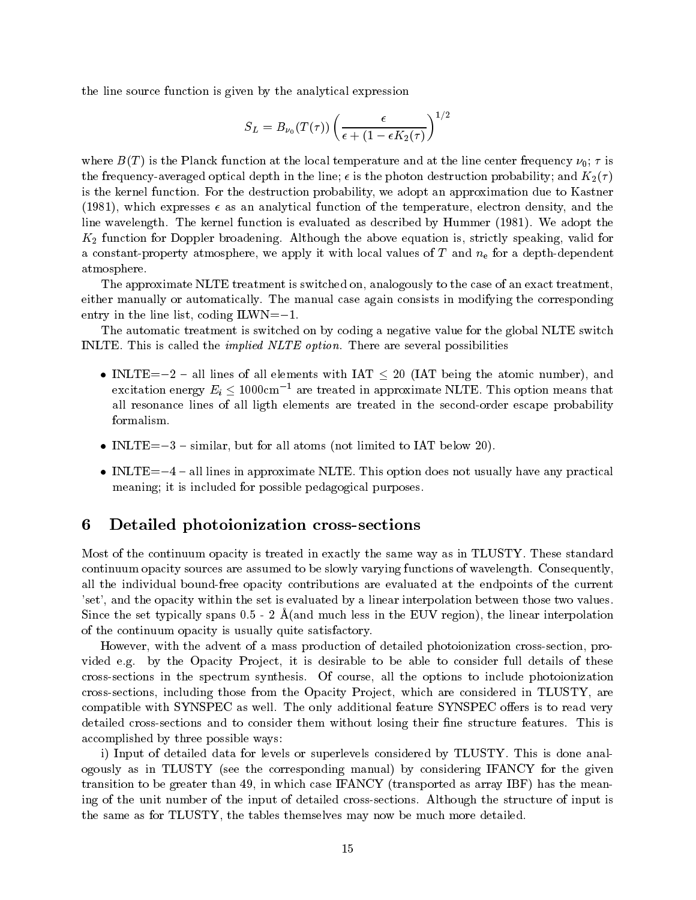the line source function is given by the analytical expression

$$
S_L = B_{\nu_0}(T(\tau)) \left( \frac{\epsilon}{\epsilon + (1-\epsilon K_2(\tau)} \right)^{1/2}
$$

where  $B(T)$  is the Planck function at the local temperature and at the line center frequency  $\nu_0$ ;  $\tau$  is the frequency-averaged optical depth in the line;  $\epsilon$  is the photon destruction probability; and  $K_2(\tau)$ is the kernel function. For the destruction probability, we adopt an approximation due to Kastner (1981), which expresses  $\epsilon$  as an analytical function of the temperature, electron density, and the line wavelength. The kernel function is evaluated as described by Hummer (1981). We adopt the  $K_2$  function for Doppler broadening. Although the above equation is, strictly speaking, valid for a constant-property atmosphere, we apply it with local values of  $T$  and  $n_e$  for a depth-dependent atmosphere.

The approximate NLTE treatment is switched on, analogously to the case of an exact treatment, either manually or automatically. The manual case again consists in modifying the corresponding entry in the line list, coding  $ILWN = -1$ .

The automatic treatment is switched on by coding a negative value for the global NLTE switch INLTE. This is called the implied NLTE option. There are several possibilities

- INLTE=-2 all lines of all elements with IAT  $\leq$  20 (IAT being the atomic number), and excitation energy  $E_i \leq 1000 \text{cm}^{-1}$  are treated in approximate NLTE. This option means that all resonance lines of all ligth elements are treated in the second-order escape probability
- INLTE $=-3$  similar, but for all atoms (not limited to IAT below 20).
- $\bullet$  INLTE=-4 all lines in approximate NLTE. This option does not usually have any practical meaning; it is included for possible pedagogical purposes.

#### 6Detailed photoionization cross-sections

Most of the continuum opacity is treated in exactly the same way as in TLUSTY. These standard continuum opacity sources are assumed to be slowly varying functions of wavelength. Consequently, all the individual bound-free opacity contributions are evaluated at the endpoints of the current 'set', and the opacity within the set is evaluated by a linear interpolation between those two values. Since the set typically spans  $0.5$  - 2  $\AA$  (and much less in the EUV region), the linear interpolation of the continuum opacity is usually quite satisfactory.

However, with the advent of a mass production of detailed photoionization cross-section, provided e.g. by the Opacity Project, it is desirable to be able to consider full details of these cross-sections in the spectrum synthesis. Of course, all the options to include photoionization cross-sections, including those from the Opacity Project, which are considered in TLUSTY, are compatible with SYNSPEC as well. The only additional feature SYNSPEC offers is to read very detailed cross-sections and to consider them without losing their fine structure features. This is accomplished by three possible ways:

i) Input of detailed data for levels or superlevels considered by TLUSTY. This is done analogously as in TLUSTY (see the corresponding manual) by considering IFANCY for the given transition to be greater than 49, in which case IFANCY (transported as array IBF) has the meaning of the unit number of the input of detailed cross-sections. Although the structure of input is the same as for TLUSTY, the tables themselves may now be much more detailed.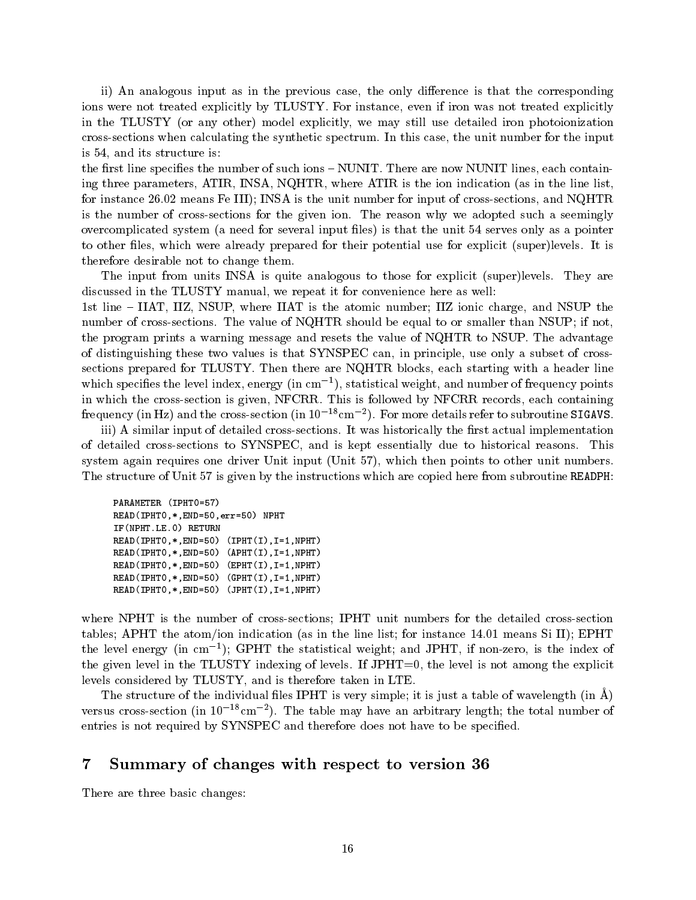ii) An analogous input as in the previous case, the only difference is that the corresponding ions were not treated explicitly by TLUSTY. For instance, even if iron was not treated explicitly in the TLUSTY (or any other) model explicitly, we may still use detailed iron photoionization cross-sections when calculating the synthetic spectrum. In this case, the unit number for the input is 54, and its structure is:

the first line specifies the number of such ions - NUNIT. There are now NUNIT lines, each containing three parameters, ATIR, INSA, NQHTR, where ATIR is the ion indication (as in the line list, for instance 26.02 means Fe III); INSA is the unit number for input of cross-sections, and NQHTR is the number of cross-sections for the given ion. The reason why we adopted such a seemingly overcomplicated system (a need for several input files) is that the unit 54 serves only as a pointer to other files, which were already prepared for their potential use for explicit (super)levels. It is therefore desirable not to change them.

The input from units INSA is quite analogous to those for explicit (super)levels. They are discussed in the TLUSTY manual, we repeat it for convenience here as well:

1st line – IIAT, IIZ, NSUP, where IIAT is the atomic number; IIZ ionic charge, and NSUP the number of cross-sections. The value of NQHTR should be equal to or smaller than NSUP; if not, the program prints a warning message and resets the value of NQHTR to NSUP. The advantage of distinguishing these two values is that SYNSPEC can, in principle, use only a subset of crosssections prepared for TLUSTY. Then there are NQHTR blocks, each starting with a header line which species the level index, energy (in cm1 ), statistical weight, and number of frequency points in which the cross-section is given, NFCRR. This is followed by NFCRR records, each containing  ${\rm frequency}$  (in Hz) and the cross-section (in IO  $^{-1}$  cm  $^{-1}$ ). For more details refer to subroutine SIGAVS.

iii) A similar input of detailed cross-sections. It was historically the first actual implementation of detailed cross-sections to SYNSPEC, and is kept essentially due to historical reasons. This system again requires one driver Unit input (Unit 57), which then points to other unit numbers. The structure of Unit 57 is given by the instructions which are copied here from subroutine READPH:

```
PARAMETER (IPHT0=57)
READ(IPHT0,*,END=50,err=50) NPHT
IF(NPHT.LE.0) RETURN
READ(IPHT0,*,END=50) (IPHT(I),I=1,NPHT)
READ(IPHT0,*,END=50) (APHT(I),I=1,NPHT)
READ(IPHT0,*,END=50) (EPHT(I),I=1,NPHT)
READ(IPHT0,*,END=50) (GPHT(I),I=1,NPHT)
READ(IPHT0,*,END=50) (JPHT(I),I=1,NPHT)
```
where NPHT is the number of cross-sections; IPHT unit numbers for the detailed cross-section tables; APHT the atom/ion indication (as in the line list; for instance 14.01 means Si II); EPHT the level energy (in cm  $\,$  ); GPHT the statistical weight; and JPHT, if non-zero, is the index of the given level in the TLUSTY indexing of levels. If JPHT=0, the level is not among the explicit levels considered by TLUSTY, and is therefore taken in LTE.

The structure of the individual files IPHT is very simple; it is just a table of wavelength (in  $\AA$ ) versus cross-section (in 10  $^{-1}$ cm  $^{-}$ ). The table may have an arbitrary length; the total number of  $\,$ entries is not required by SYNSPEC and therefore does not have to be specified.

#### 7Summary of changes with respect to version <sup>36</sup>

There are three basic changes: